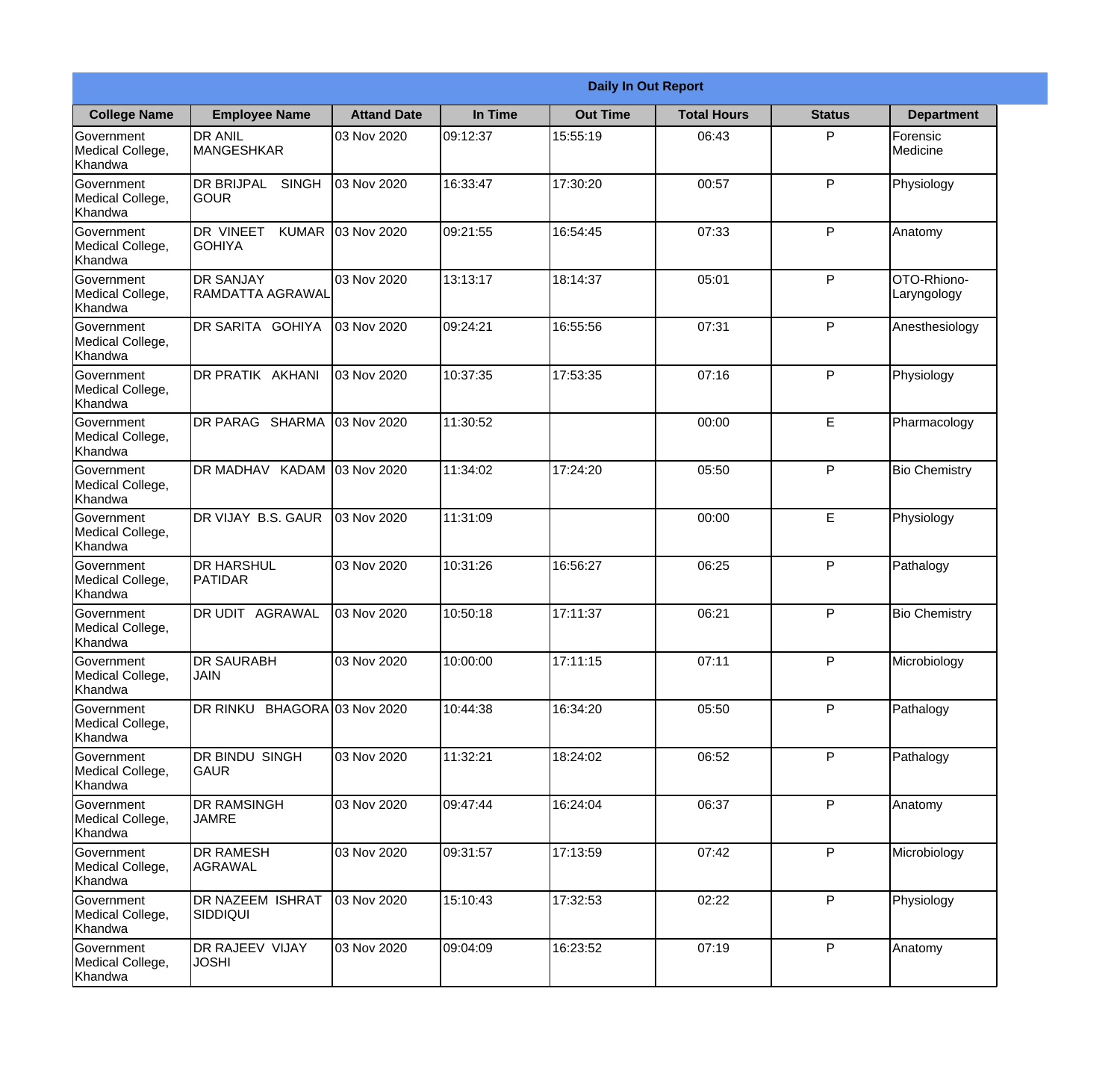|                                                  | <b>Daily In Out Report</b>                        |                    |          |                 |                    |               |                            |
|--------------------------------------------------|---------------------------------------------------|--------------------|----------|-----------------|--------------------|---------------|----------------------------|
| <b>College Name</b>                              | <b>Employee Name</b>                              | <b>Attand Date</b> | In Time  | <b>Out Time</b> | <b>Total Hours</b> | <b>Status</b> | <b>Department</b>          |
| Government<br>Medical College,<br>Khandwa        | <b>DR ANIL</b><br><b>MANGESHKAR</b>               | 03 Nov 2020        | 09:12:37 | 15:55:19        | 06:43              | P             | Forensic<br>Medicine       |
| Government<br>Medical College,<br>Khandwa        | <b>DR BRIJPAL</b><br><b>SINGH</b><br> GOUR        | 03 Nov 2020        | 16:33:47 | 17:30:20        | 00:57              | P             | Physiology                 |
| <b>Government</b><br>Medical College,<br>Khandwa | <b>DR VINEET</b><br><b>KUMAR</b><br><b>GOHIYA</b> | 03 Nov 2020        | 09:21:55 | 16:54:45        | 07:33              | P             | Anatomy                    |
| <b>Government</b><br>Medical College,<br>Khandwa | <b>DR SANJAY</b><br>RAMDATTA AGRAWAL              | 03 Nov 2020        | 13:13:17 | 18:14:37        | 05:01              | P             | OTO-Rhiono-<br>Laryngology |
| Government<br>Medical College,<br>Khandwa        | DR SARITA GOHIYA                                  | 03 Nov 2020        | 09:24:21 | 16:55:56        | 07:31              | P             | Anesthesiology             |
| Government<br>Medical College,<br>Khandwa        | <b>DR PRATIK AKHANI</b>                           | 03 Nov 2020        | 10:37:35 | 17:53:35        | 07:16              | P             | Physiology                 |
| <b>Government</b><br>Medical College,<br>Khandwa | DR PARAG SHARMA                                   | 03 Nov 2020        | 11:30:52 |                 | 00:00              | E             | Pharmacology               |
| <b>Government</b><br>Medical College,<br>Khandwa | <b>DR MADHAV KADAM</b>                            | 03 Nov 2020        | 11:34:02 | 17:24:20        | 05:50              | P             | <b>Bio Chemistry</b>       |
| Government<br>Medical College,<br>Khandwa        | DR VIJAY B.S. GAUR                                | 03 Nov 2020        | 11:31:09 |                 | 00:00              | E             | Physiology                 |
| Government<br>Medical College,<br>Khandwa        | <b>DR HARSHUL</b><br>PATIDAR                      | 03 Nov 2020        | 10:31:26 | 16:56:27        | 06:25              | P             | Pathalogy                  |
| Government<br>Medical College,<br>Khandwa        | IDR UDIT<br><b>AGRAWAL</b>                        | 03 Nov 2020        | 10:50:18 | 17:11:37        | 06:21              | P             | <b>Bio Chemistry</b>       |
| Government<br>Medical College,<br>Khandwa        | <b>DR SAURABH</b><br><b>JAIN</b>                  | 03 Nov 2020        | 10:00:00 | 17:11:15        | 07:11              | P             | Microbiology               |
| Government<br>Medical College,<br>Khandwa        | DR RINKU BHAGORA 03 Nov 2020                      |                    | 10:44:38 | 16:34:20        | 05:50              | P             | Pathalogy                  |
| Government<br>Medical College,<br>Khandwa        | DR BINDU SINGH<br><b>GAUR</b>                     | 03 Nov 2020        | 11:32:21 | 18:24:02        | 06:52              | P             | Pathalogy                  |
| Government<br>Medical College,<br>Khandwa        | <b>DR RAMSINGH</b><br><b>JAMRE</b>                | 03 Nov 2020        | 09:47:44 | 16:24:04        | 06:37              | P             | Anatomy                    |
| Government<br>Medical College,<br>Khandwa        | <b>DR RAMESH</b><br>AGRAWAL                       | 03 Nov 2020        | 09:31:57 | 17:13:59        | 07:42              | P             | Microbiology               |
| Government<br>Medical College,<br>Khandwa        | <b>DR NAZEEM ISHRAT</b><br><b>SIDDIQUI</b>        | 03 Nov 2020        | 15:10:43 | 17:32:53        | 02:22              | P             | Physiology                 |
| Government<br>Medical College,<br>Khandwa        | <b>DR RAJEEV VIJAY</b><br><b>JOSHI</b>            | 03 Nov 2020        | 09:04:09 | 16:23:52        | 07:19              | P             | Anatomy                    |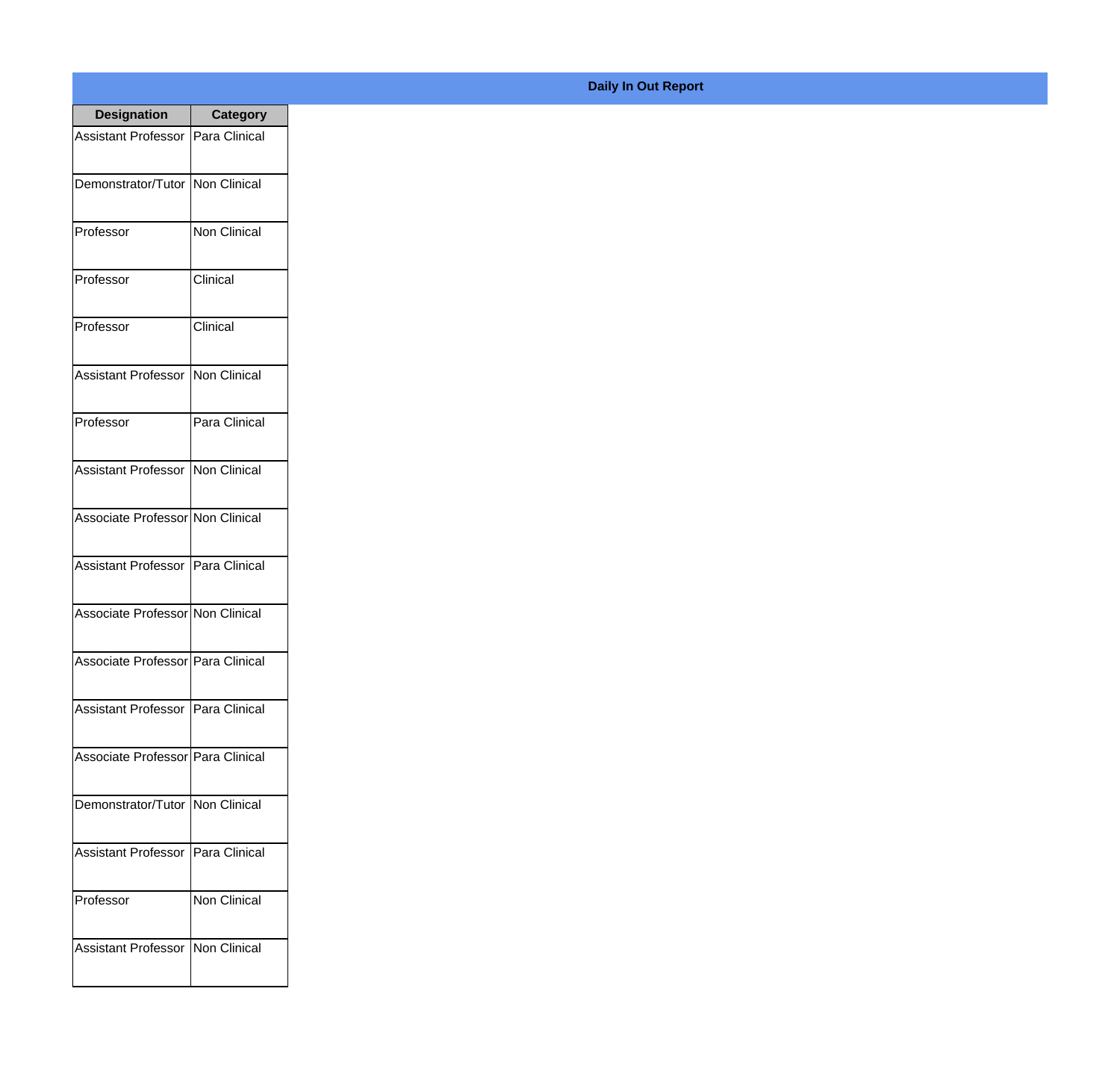| <b>Designation</b>                  | <b>Category</b>     |
|-------------------------------------|---------------------|
| <b>Assistant Professor</b>          | Para Clinical       |
| Demonstrator/Tutor                  | Non Clinical        |
| Professor                           | Non Clinical        |
| Professor                           | Clinical            |
| Professor                           | Clinical            |
| <b>Assistant Professor</b>          | Non Clinical        |
| Professor                           | Para Clinical       |
| <b>Assistant Professor</b>          | Non Clinical        |
| Associate Professor Non Clinical    |                     |
| <b>Assistant Professor</b>          | Para Clinical       |
| Associate Professor Non Clinical    |                     |
| Associate Professor   Para Clinical |                     |
| Assistant Professor   Para Clinical |                     |
| Associate Professor Para Clinical   |                     |
| Demonstrator/Tutor   Non Clinical   |                     |
| <b>Assistant Professor</b>          | Para Clinical       |
| Professor                           | <b>Non Clinical</b> |
| Assistant Professor   Non Clinical  |                     |

**Daily In Out Report**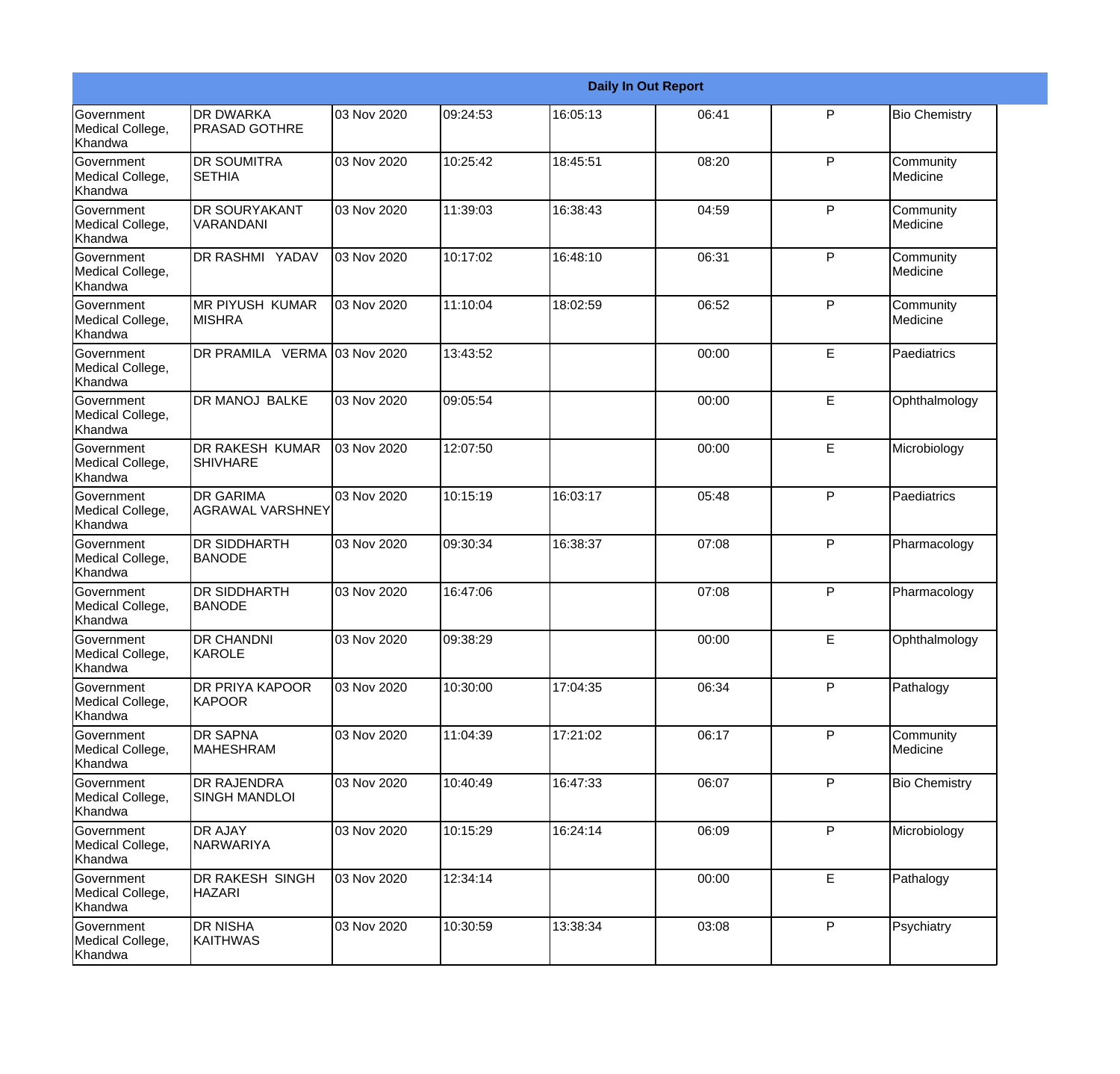|                                                  |                                             | <b>Daily In Out Report</b> |          |          |       |   |                       |
|--------------------------------------------------|---------------------------------------------|----------------------------|----------|----------|-------|---|-----------------------|
| <b>Government</b><br>Medical College,<br>Khandwa | <b>DR DWARKA</b><br><b>PRASAD GOTHRE</b>    | 03 Nov 2020                | 09:24:53 | 16:05:13 | 06:41 | P | <b>Bio Chemistry</b>  |
| Government<br>Medical College,<br>Khandwa        | <b>DR SOUMITRA</b><br><b>SETHIA</b>         | 03 Nov 2020                | 10:25:42 | 18:45:51 | 08:20 | P | Community<br>Medicine |
| <b>Government</b><br>Medical College,<br>Khandwa | <b>DR SOURYAKANT</b><br>VARANDANI           | 03 Nov 2020                | 11:39:03 | 16:38:43 | 04:59 | P | Community<br>Medicine |
| <b>Government</b><br>Medical College,<br>Khandwa | <b>DR RASHMI YADAV</b>                      | 03 Nov 2020                | 10:17:02 | 16:48:10 | 06:31 | P | Community<br>Medicine |
| Government<br>Medical College,<br>Khandwa        | <b>IMR PIYUSH KUMAR</b><br><b>MISHRA</b>    | 03 Nov 2020                | 11:10:04 | 18:02:59 | 06:52 | P | Community<br>Medicine |
| Government<br>Medical College,<br>Khandwa        | DR PRAMILA VERMA 03 Nov 2020                |                            | 13:43:52 |          | 00:00 | E | Paediatrics           |
| Government<br>Medical College,<br><b>Khandwa</b> | DR MANOJ BALKE                              | 03 Nov 2020                | 09:05:54 |          | 00:00 | E | Ophthalmology         |
| <b>Government</b><br>Medical College,<br>Khandwa | <b>DR RAKESH KUMAR</b><br><b>SHIVHARE</b>   | 03 Nov 2020                | 12:07:50 |          | 00:00 | E | Microbiology          |
| Government<br>Medical College,<br>Khandwa        | <b>DR GARIMA</b><br><b>AGRAWAL VARSHNEY</b> | 03 Nov 2020                | 10:15:19 | 16:03:17 | 05:48 | P | Paediatrics           |
| Government<br>Medical College,<br>Khandwa        | <b>DR SIDDHARTH</b><br><b>BANODE</b>        | 03 Nov 2020                | 09:30:34 | 16:38:37 | 07:08 | P | Pharmacology          |
| <b>Government</b><br>Medical College,<br>Khandwa | <b>DR SIDDHARTH</b><br><b>BANODE</b>        | 03 Nov 2020                | 16:47:06 |          | 07:08 | P | Pharmacology          |
| Government<br>Medical College,<br>Khandwa        | <b>DR CHANDNI</b><br>KAROLE                 | 03 Nov 2020                | 09:38:29 |          | 00:00 | E | Ophthalmology         |
| Government<br>Medical College,<br>Khandwa        | <b>DR PRIYA KAPOOR</b><br>KAPOOR            | 03 Nov 2020                | 10:30:00 | 17:04:35 | 06:34 | P | Pathalogy             |
| Government<br>Medical College,<br>Khandwa        | <b>DR SAPNA</b><br><b>MAHESHRAM</b>         | 03 Nov 2020                | 11:04:39 | 17:21:02 | 06:17 | P | Community<br>Medicine |
| Government<br>Medical College,<br>Khandwa        | <b>DR RAJENDRA</b><br><b>SINGH MANDLOI</b>  | 03 Nov 2020                | 10:40:49 | 16:47:33 | 06:07 | P | <b>Bio Chemistry</b>  |
| Government<br>Medical College,<br>Khandwa        | <b>DR AJAY</b><br><b>NARWARIYA</b>          | 03 Nov 2020                | 10:15:29 | 16:24:14 | 06:09 | P | Microbiology          |
| Government<br>Medical College,<br>Khandwa        | <b>DR RAKESH SINGH</b><br><b>HAZARI</b>     | 03 Nov 2020                | 12:34:14 |          | 00:00 | E | Pathalogy             |
| Government<br>Medical College,<br>Khandwa        | <b>DR NISHA</b><br><b>KAITHWAS</b>          | 03 Nov 2020                | 10:30:59 | 13:38:34 | 03:08 | P | Psychiatry            |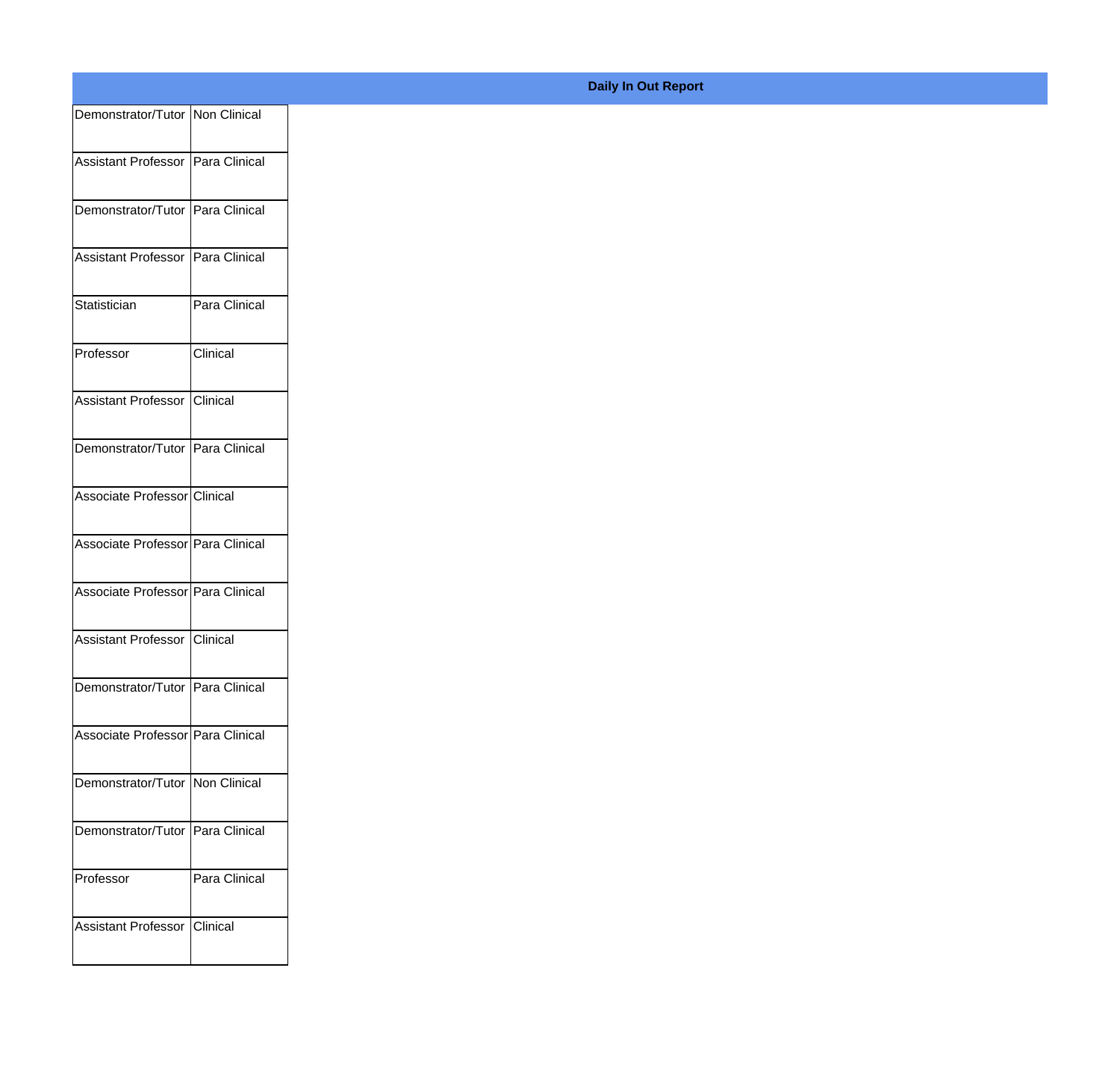| Demonstrator/Tutor Non Clinical   |               |
|-----------------------------------|---------------|
| Assistant Professor Para Clinical |               |
|                                   |               |
| Demonstrator/Tutor Para Clinical  |               |
| Assistant Professor Para Clinical |               |
| Statistician                      | Para Clinical |
| Professor                         | Clinical      |
| Assistant Professor Clinical      |               |
| Demonstrator/Tutor Para Clinical  |               |
| Associate Professor Clinical      |               |
| Associate Professor Para Clinical |               |
|                                   |               |
| Associate Professor Para Clinical |               |
| Assistant Professor Clinical      |               |
| Demonstrator/Tutor Para Clinical  |               |
| Associate Professor Para Clinical |               |
| Demonstrator/Tutor Non Clinical   |               |
| Demonstrator/Tutor Para Clinical  |               |
| Professor                         | Para Clinical |
|                                   |               |
| Assistant Professor Clinical      |               |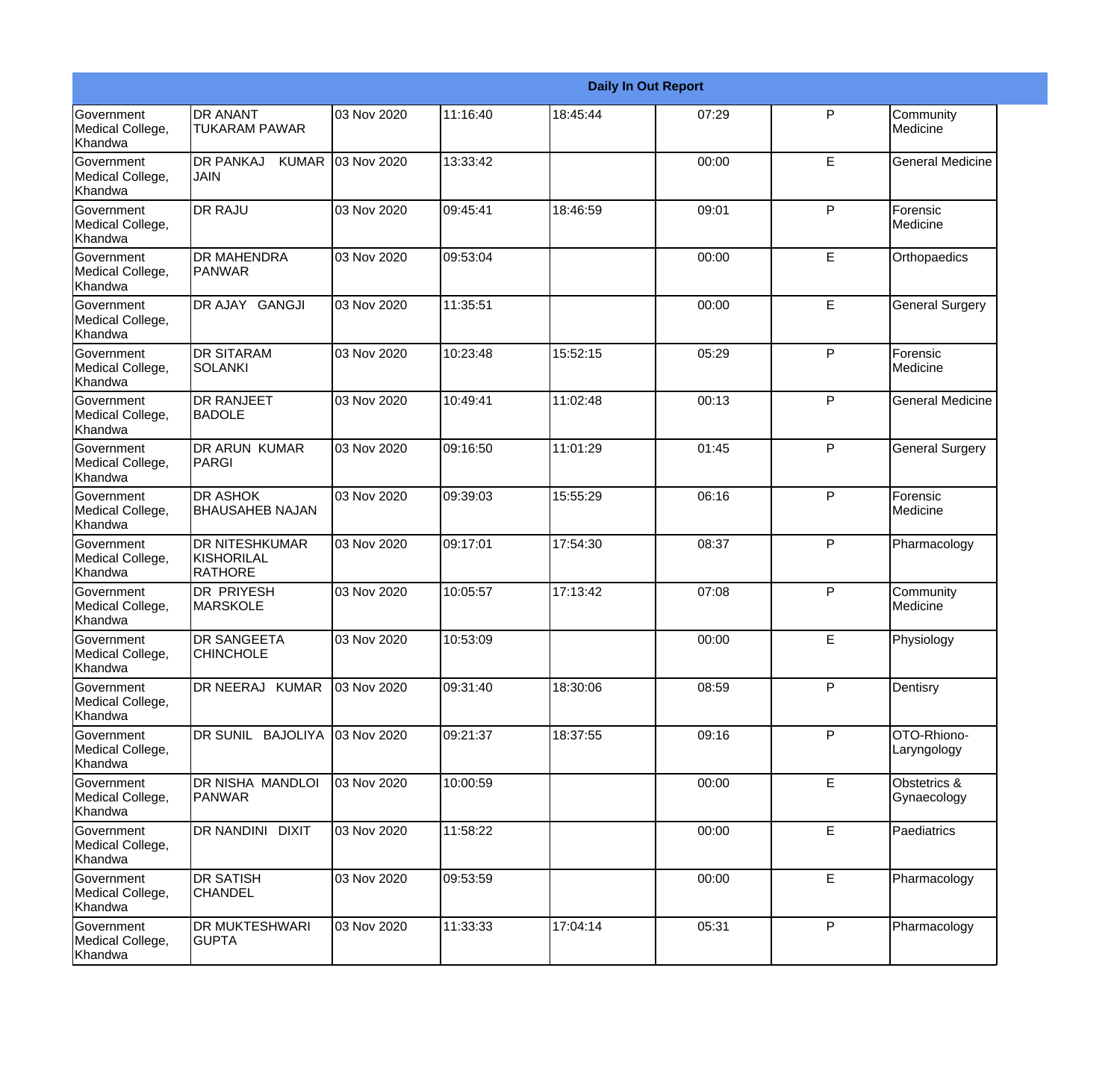|                                                  |                                                       |             |          |          | <b>Daily In Out Report</b> |              |                             |
|--------------------------------------------------|-------------------------------------------------------|-------------|----------|----------|----------------------------|--------------|-----------------------------|
| Government<br>Medical College,<br>Khandwa        | <b>DR ANANT</b><br><b>TUKARAM PAWAR</b>               | 03 Nov 2020 | 11:16:40 | 18:45:44 | 07:29                      | $\mathsf{P}$ | Community<br>Medicine       |
| Government<br>Medical College,<br>Khandwa        | <b>DR PANKAJ</b><br><b>KUMAR</b><br>JAIN              | 03 Nov 2020 | 13:33:42 |          | 00:00                      | E            | <b>General Medicine</b>     |
| Government<br>Medical College,<br>Khandwa        | <b>DR RAJU</b>                                        | 03 Nov 2020 | 09:45:41 | 18:46:59 | 09:01                      | P            | Forensic<br>Medicine        |
| Government<br>Medical College,<br>Khandwa        | <b>DR MAHENDRA</b><br>PANWAR                          | 03 Nov 2020 | 09:53:04 |          | 00:00                      | E            | Orthopaedics                |
| Government<br>Medical College,<br>Khandwa        | DR AJAY GANGJI                                        | 03 Nov 2020 | 11:35:51 |          | 00:00                      | $\mathsf E$  | <b>General Surgery</b>      |
| Government<br>Medical College,<br>Khandwa        | <b>DR SITARAM</b><br><b>SOLANKI</b>                   | 03 Nov 2020 | 10:23:48 | 15:52:15 | 05:29                      | $\mathsf{P}$ | Forensic<br>Medicine        |
| Government<br>Medical College,<br>Khandwa        | <b>DR RANJEET</b><br><b>BADOLE</b>                    | 03 Nov 2020 | 10:49:41 | 11:02:48 | 00:13                      | P            | <b>General Medicine</b>     |
| Government<br>Medical College,<br>Khandwa        | <b>DR ARUN KUMAR</b><br>PARGI                         | 03 Nov 2020 | 09:16:50 | 11:01:29 | 01:45                      | P            | <b>General Surgery</b>      |
| Government<br>Medical College,<br>Khandwa        | <b>DR ASHOK</b><br><b>BHAUSAHEB NAJAN</b>             | 03 Nov 2020 | 09:39:03 | 15:55:29 | 06:16                      | $\mathsf{P}$ | Forensic<br>Medicine        |
| <b>Government</b><br>Medical College,<br>Khandwa | <b>DR NITESHKUMAR</b><br>KISHORILAL<br><b>RATHORE</b> | 03 Nov 2020 | 09:17:01 | 17:54:30 | 08:37                      | $\mathsf{P}$ | Pharmacology                |
| Government<br>Medical College,<br>Khandwa        | <b>DR PRIYESH</b><br><b>MARSKOLE</b>                  | 03 Nov 2020 | 10:05:57 | 17:13:42 | 07:08                      | $\mathsf{P}$ | Community<br>Medicine       |
| Government<br>Medical College,<br>Khandwa        | <b>DR SANGEETA</b><br><b>CHINCHOLE</b>                | 03 Nov 2020 | 10:53:09 |          | 00:00                      | E            | Physiology                  |
| Government<br>Medical College,<br>Khandwa        | DR NEERAJ KUMAR                                       | 03 Nov 2020 | 09:31:40 | 18:30:06 | 08:59                      | P            | Dentisry                    |
| Government<br>Medical College,<br>Khandwa        | DR SUNIL BAJOLIYA                                     | 03 Nov 2020 | 09:21:37 | 18:37:55 | 09:16                      | $\mathsf{P}$ | OTO-Rhiono-<br>Laryngology  |
| Government<br>Medical College,<br>Khandwa        | DR NISHA MANDLOI<br>PANWAR                            | 03 Nov 2020 | 10:00:59 |          | 00:00                      | E            | Obstetrics &<br>Gynaecology |
| Government<br>Medical College,<br>Khandwa        | DR NANDINI DIXIT                                      | 03 Nov 2020 | 11:58:22 |          | 00:00                      | E.           | Paediatrics                 |
| Government<br>Medical College,<br>Khandwa        | <b>DR SATISH</b><br><b>CHANDEL</b>                    | 03 Nov 2020 | 09:53:59 |          | 00:00                      | E            | Pharmacology                |
| Government<br>Medical College,<br>Khandwa        | <b>DR MUKTESHWARI</b><br><b>GUPTA</b>                 | 03 Nov 2020 | 11:33:33 | 17:04:14 | 05:31                      | $\mathsf{P}$ | Pharmacology                |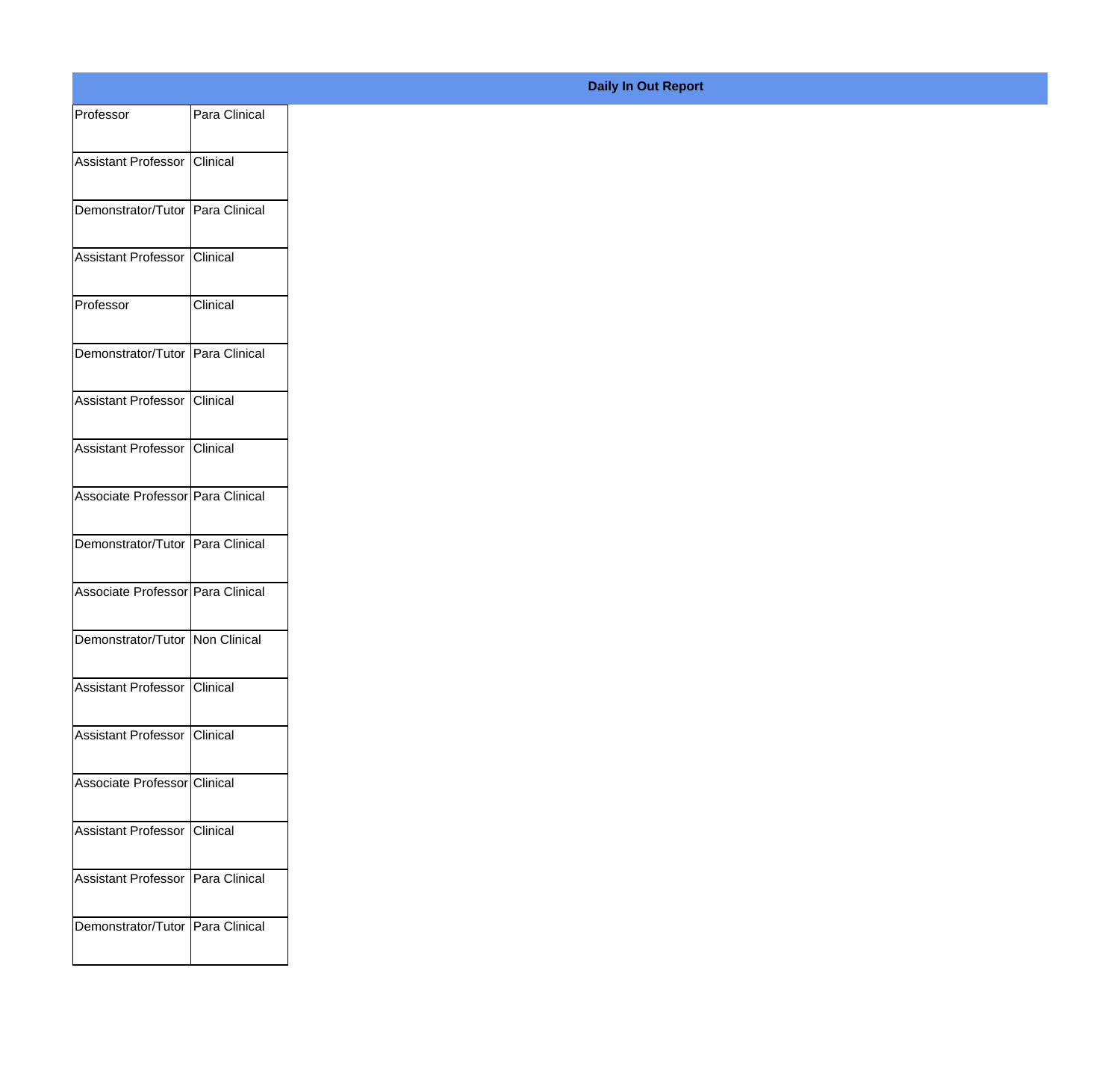| Professor                           | Para Clinical |
|-------------------------------------|---------------|
| Assistant Professor Clinical        |               |
|                                     |               |
| Demonstrator/Tutor Para Clinical    |               |
| Assistant Professor Clinical        |               |
|                                     |               |
| Professor                           | Clinical      |
| Demonstrator/Tutor Para Clinical    |               |
| Assistant Professor Clinical        |               |
|                                     |               |
| Assistant Professor Clinical        |               |
| Associate Professor Para Clinical   |               |
|                                     |               |
| Demonstrator/Tutor Para Clinical    |               |
| Associate Professor Para Clinical   |               |
| Demonstrator/Tutor Non Clinical     |               |
|                                     |               |
| Assistant Professor Clinical        |               |
| Assistant Professor Clinical        |               |
| Associate Professor Clinical        |               |
|                                     |               |
| Assistant Professor Clinical        |               |
| Assistant Professor   Para Clinical |               |
|                                     |               |
| Demonstrator/Tutor Para Clinical    |               |
|                                     |               |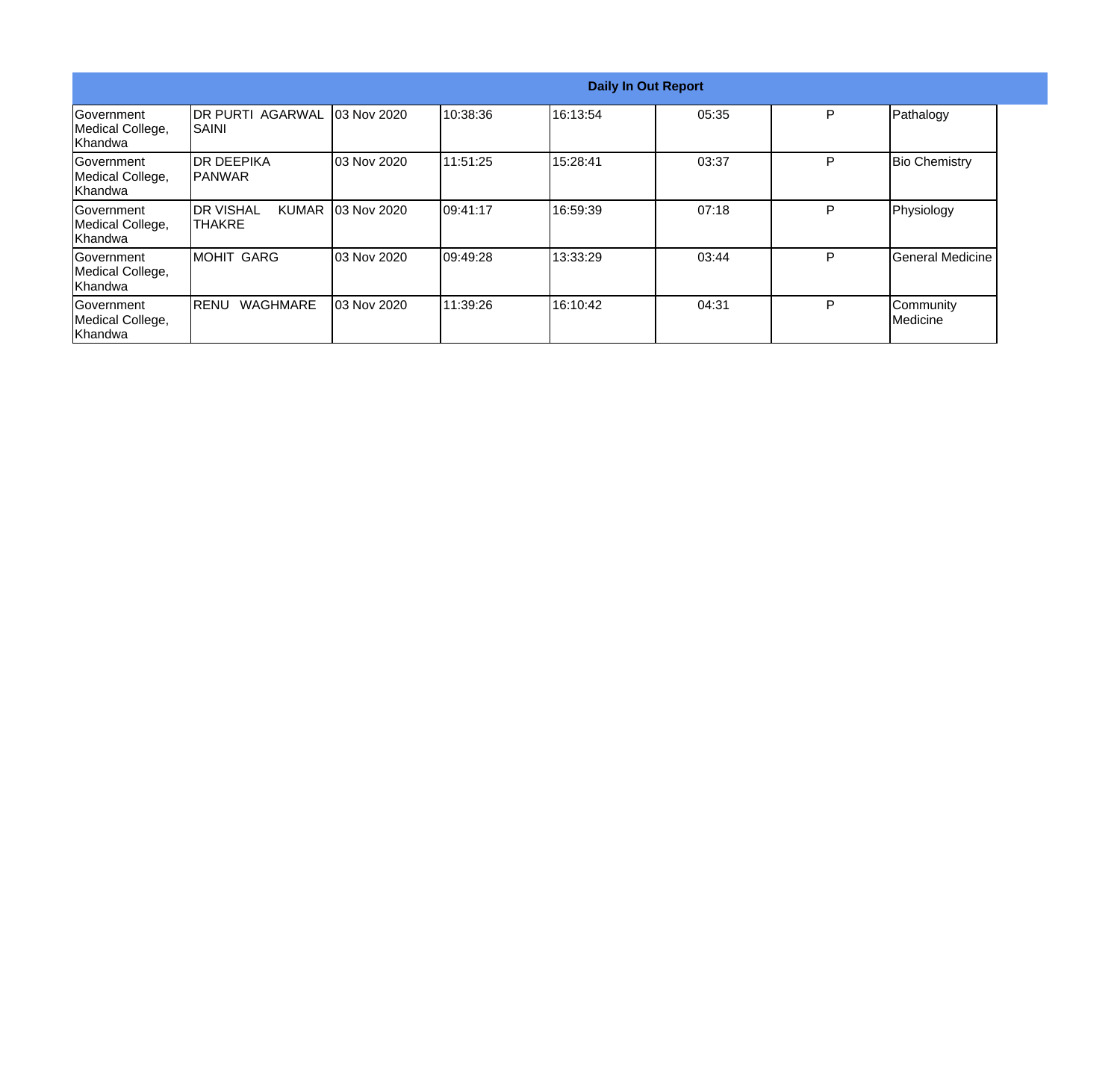|                                                  | <b>Daily In Out Report</b>                            |                    |           |          |       |   |                       |
|--------------------------------------------------|-------------------------------------------------------|--------------------|-----------|----------|-------|---|-----------------------|
| Government<br>Medical College,<br><b>Khandwa</b> | <b>IDR PURTI AGARWAL</b><br>ISAINI                    | <b>03 Nov 2020</b> | 10:38:36  | 16:13:54 | 05:35 | P | Pathalogy             |
| Government<br>Medical College,<br>Khandwa        | IDR DEEPIKA<br>IPANWAR                                | 03 Nov 2020        | 11:51:25  | 15:28:41 | 03:37 | P | <b>Bio Chemistry</b>  |
| lGovernment<br>Medical College,<br>Khandwa       | <b>I</b> DR VISHAL<br><b>KUMAR</b><br><b>I</b> THAKRE | 03 Nov 2020        | 109:41:17 | 16:59:39 | 07:18 | P | Physiology            |
| lGovernment<br>Medical College,<br>Khandwa       | <b>MOHIT GARG</b>                                     | 03 Nov 2020        | 109:49:28 | 13:33:29 | 03:44 | P | General Medicine      |
| Government<br>Medical College,<br>Khandwa        | <b>WAGHMARE</b><br>IRENU                              | 03 Nov 2020        | 11:39:26  | 16:10:42 | 04:31 | P | Community<br>Medicine |